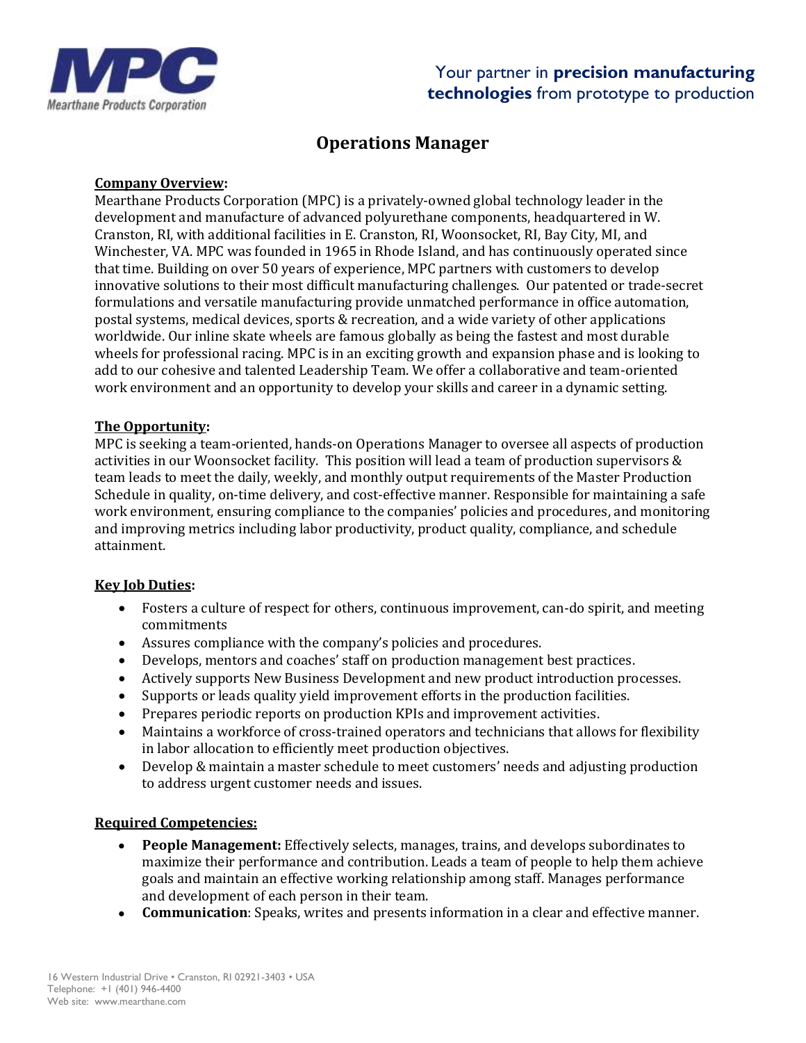

# **Operations Manager**

#### **Company Overview:**

Mearthane Products Corporation (MPC) is a privately-owned global technology leader in the development and manufacture of advanced polyurethane components, headquartered in W. Cranston, RI, with additional facilities in E. Cranston, RI, Woonsocket, RI, Bay City, MI, and Winchester, VA. MPC was founded in 1965 in Rhode Island, and has continuously operated since that time. Building on over 50 years of experience, MPC partners with customers to develop innovative solutions to their most difficult manufacturing challenges. Our patented or trade-secret formulations and versatile manufacturing provide unmatched performance in office automation, postal systems, medical devices, sports & recreation, and a wide variety of other applications worldwide. Our inline skate wheels are famous globally as being the fastest and most durable wheels for professional racing. MPC is in an exciting growth and expansion phase and is looking to add to our cohesive and talented Leadership Team. We offer a collaborative and team-oriented work environment and an opportunity to develop your skills and career in a dynamic setting.

#### **The Opportunity:**

MPC is seeking a team-oriented, hands-on Operations Manager to oversee all aspects of production activities in our Woonsocket facility. This position will lead a team of production supervisors & team leads to meet the daily, weekly, and monthly output requirements of the Master Production Schedule in quality, on-time delivery, and cost-effective manner. Responsible for maintaining a safe work environment, ensuring compliance to the companies' policies and procedures, and monitoring and improving metrics including labor productivity, product quality, compliance, and schedule attainment.

#### **Key Job Duties:**

- Fosters a culture of respect for others, continuous improvement, can-do spirit, and meeting commitments
- Assures compliance with the company's policies and procedures.
- Develops, mentors and coaches' staff on production management best practices.
- Actively supports New Business Development and new product introduction processes.
- Supports or leads quality yield improvement efforts in the production facilities.
- Prepares periodic reports on production KPIs and improvement activities.
- Maintains a workforce of cross-trained operators and technicians that allows for flexibility in labor allocation to efficiently meet production objectives.
- Develop & maintain a master schedule to meet customers' needs and adjusting production to address urgent customer needs and issues.

#### **Required Competencies:**

- **People Management:** Effectively selects, manages, trains, and develops subordinates to maximize their performance and contribution. Leads a team of people to help them achieve goals and maintain an effective working relationship among staff. Manages performance and development of each person in their team.
- **Communication**: Speaks, writes and presents information in a clear and effective manner.